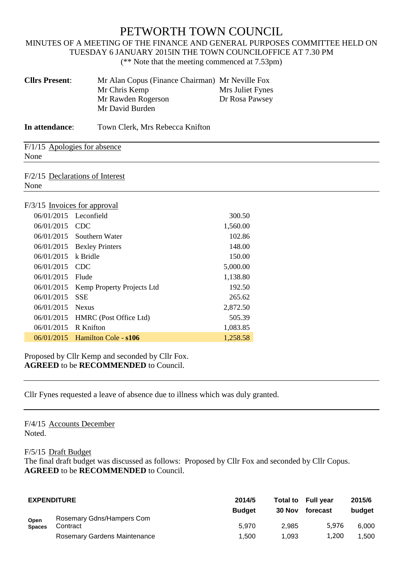## PETWORTH TOWN COUNCIL

## MINUTES OF A MEETING OF THE FINANCE AND GENERAL PURPOSES COMMITTEE HELD ON TUESDAY 6 JANUARY 2015IN THE TOWN COUNCILOFFICE AT 7.30 PM (\*\* Note that the meeting commenced at 7.53pm)

| <b>Cllrs Present:</b>        | Mr Alan Copus (Finance Chairman) Mr Neville Fox<br>Mr Chris Kemp<br>Mr Rawden Rogerson<br>Mr David Burden | Mrs Juliet Fynes<br>Dr Rosa Pawsey |  |
|------------------------------|-----------------------------------------------------------------------------------------------------------|------------------------------------|--|
| In attendance:               | Town Clerk, Mrs Rebecca Knifton                                                                           |                                    |  |
| None                         | F/1/15 Apologies for absence                                                                              |                                    |  |
| None                         | F/2/15 Declarations of Interest                                                                           |                                    |  |
| F/3/15 Invoices for approval |                                                                                                           |                                    |  |
| 06/01/2015                   | Leconfield                                                                                                | 300.50                             |  |
| 06/01/2015                   | <b>CDC</b>                                                                                                | 1,560.00                           |  |
| 06/01/2015                   | Southern Water                                                                                            | 102.86                             |  |
| 06/01/2015                   | <b>Bexley Printers</b>                                                                                    | 148.00                             |  |
| 06/01/2015                   | k Bridle                                                                                                  | 150.00                             |  |
| 06/01/2015                   | <b>CDC</b>                                                                                                | 5,000.00                           |  |
| 06/01/2015                   | Flude                                                                                                     | 1,138.80                           |  |
| 06/01/2015                   | Kemp Property Projects Ltd                                                                                | 192.50                             |  |
| 06/01/2015                   | <b>SSE</b>                                                                                                | 265.62                             |  |
| 06/01/2015                   | <b>Nexus</b>                                                                                              | 2,872.50                           |  |
| 06/01/2015                   | HMRC (Post Office Ltd)                                                                                    | 505.39                             |  |
| 06/01/2015                   | R Knifton                                                                                                 | 1,083.85                           |  |
| 06/01/2015                   | Hamilton Cole - s106                                                                                      | 1,258.58                           |  |

Proposed by Cllr Kemp and seconded by Cllr Fox. **AGREED** to be **RECOMMENDED** to Council.

Cllr Fynes requested a leave of absence due to illness which was duly granted.

F/4/15 Accounts December Noted.

F/5/15 Draft Budget

The final draft budget was discussed as follows: Proposed by Cllr Fox and seconded by Cllr Copus. **AGREED** to be **RECOMMENDED** to Council.

| <b>EXPENDITURE</b>    |                                       | 2014/5<br><b>Budget</b> | 30 Nov | Total to Full year<br>forecast | 2015/6<br>budget |
|-----------------------|---------------------------------------|-------------------------|--------|--------------------------------|------------------|
| Open<br><b>Spaces</b> | Rosemary Gdns/Hampers Com<br>Contract | 5.970                   | 2.985  | 5.976                          | 6.000            |
|                       | Rosemary Gardens Maintenance          | 1.500                   | 1.093  | 1.200                          | .500             |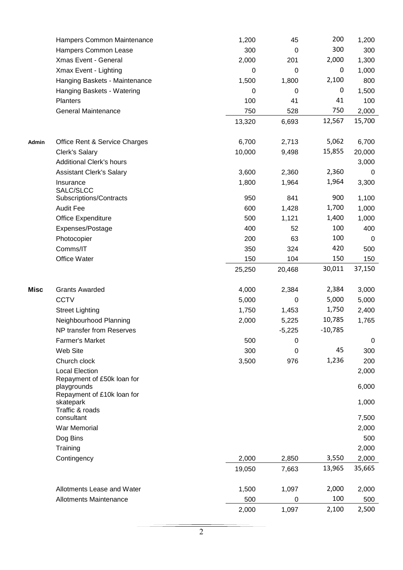|             | Hampers Common Maintenance                             | 1,200  | 45          | 200         | 1,200          |
|-------------|--------------------------------------------------------|--------|-------------|-------------|----------------|
|             | Hampers Common Lease                                   | 300    | $\mathbf 0$ | 300         | 300            |
|             | Xmas Event - General                                   | 2,000  | 201         | 2,000       | 1,300          |
|             | Xmax Event - Lighting                                  | 0      | $\mathbf 0$ | $\mathbf 0$ | 1,000          |
|             | Hanging Baskets - Maintenance                          | 1,500  | 1,800       | 2,100       | 800            |
|             | Hanging Baskets - Watering                             | 0      | $\mathbf 0$ | $\mathbf 0$ | 1,500          |
|             | Planters                                               | 100    | 41          | 41          | 100            |
|             | <b>General Maintenance</b>                             | 750    | 528         | 750         | 2,000          |
|             |                                                        | 13,320 | 6,693       | 12,567      | 15,700         |
| Admin       | Office Rent & Service Charges                          | 6,700  | 2,713       | 5,062       | 6,700          |
|             | <b>Clerk's Salary</b>                                  | 10,000 | 9,498       | 15,855      | 20,000         |
|             | <b>Additional Clerk's hours</b>                        |        |             |             | 3,000          |
|             | <b>Assistant Clerk's Salary</b>                        | 3,600  | 2,360       | 2,360       | 0              |
|             | Insurance<br>SALC/SLCC                                 | 1,800  | 1,964       | 1,964       | 3,300          |
|             | Subscriptions/Contracts                                | 950    | 841         | 900         | 1,100          |
|             | <b>Audit Fee</b>                                       | 600    | 1,428       | 1,700       | 1,000          |
|             | Office Expenditure                                     | 500    | 1,121       | 1,400       | 1,000          |
|             | Expenses/Postage                                       | 400    | 52          | 100         | 400            |
|             | Photocopier                                            | 200    | 63          | 100         | 0              |
|             | Comms/IT                                               | 350    | 324         | 420         | 500            |
|             | Office Water                                           | 150    | 104         | 150         | 150            |
|             |                                                        | 25,250 | 20,468      | 30,011      | 37,150         |
| <b>Misc</b> | <b>Grants Awarded</b>                                  | 4,000  | 2,384       | 2,384       | 3,000          |
|             | <b>CCTV</b>                                            | 5,000  | $\mathbf 0$ | 5,000       | 5,000          |
|             | <b>Street Lighting</b>                                 | 1,750  | 1,453       | 1,750       | 2,400          |
|             | Neighbourhood Planning                                 | 2,000  | 5,225       | 10,785      | 1,765          |
|             | NP transfer from Reserves                              |        | $-5,225$    | $-10,785$   |                |
|             | <b>Farmer's Market</b>                                 | 500    | $\mathbf 0$ |             | $\mathbf 0$    |
|             | Web Site                                               | 300    | $\mathbf 0$ | 45          | 300            |
|             | Church clock                                           | 3,500  | 976         | 1,236       | 200            |
|             | <b>Local Election</b><br>Repayment of £50k loan for    |        |             |             | 2,000          |
|             | playgrounds<br>Repayment of £10k loan for<br>skatepark |        |             |             | 6,000<br>1,000 |
|             | Traffic & roads<br>consultant                          |        |             |             | 7,500          |
|             | War Memorial                                           |        |             |             | 2,000          |
|             | Dog Bins                                               |        |             |             | 500            |
|             | Training                                               |        |             |             | 2,000          |
|             | Contingency                                            | 2,000  | 2,850       | 3,550       | 2,000          |
|             |                                                        | 19,050 | 7,663       | 13,965      | 35,665         |
|             | Allotments Lease and Water                             | 1,500  | 1,097       | 2,000       | 2,000          |
|             | <b>Allotments Maintenance</b>                          | 500    | 0           | 100         | 500            |
|             |                                                        | 2,000  | 1,097       | 2,100       | 2,500          |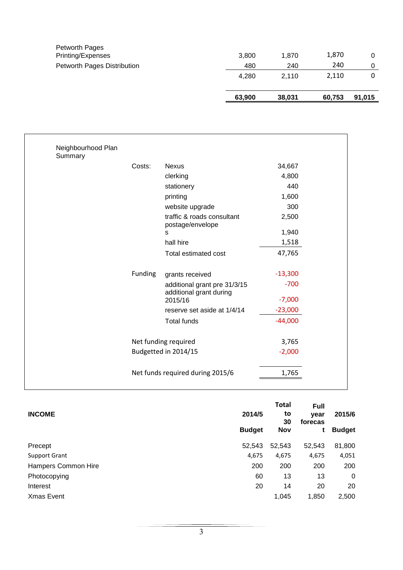|                                     | 63,900 | 38,031 | 60,753 | 91,015 |
|-------------------------------------|--------|--------|--------|--------|
|                                     | 4.280  | 2.110  | 2,110  | 0      |
| Petworth Pages Distribution         | 480    | 240    | 240    | 0      |
| Petworth Pages<br>Printing/Expenses | 3.800  | 1,870  | 1,870  | 0      |

| Neighbourhood Plan<br>Summary |         |                                                         |           |
|-------------------------------|---------|---------------------------------------------------------|-----------|
|                               | Costs:  | <b>Nexus</b>                                            | 34,667    |
|                               |         | clerking                                                | 4,800     |
|                               |         | stationery                                              | 440       |
|                               |         | printing                                                | 1,600     |
|                               |         | website upgrade                                         | 300       |
|                               |         | traffic & roads consultant<br>postage/envelope          | 2,500     |
|                               |         | s                                                       | 1,940     |
|                               |         | hall hire                                               | 1,518     |
|                               |         | Total estimated cost                                    | 47,765    |
|                               | Funding | grants received                                         | $-13,300$ |
|                               |         | additional grant pre 31/3/15<br>additional grant during | $-700$    |
|                               |         | 2015/16                                                 | $-7,000$  |
|                               |         | reserve set aside at 1/4/14                             | $-23,000$ |
|                               |         | <b>Total funds</b>                                      | $-44,000$ |
|                               |         | Net funding required                                    | 3,765     |
|                               |         | Budgetted in 2014/15                                    | $-2,000$  |
|                               |         | Net funds required during 2015/6                        | 1,765     |

| <b>INCOME</b>        | 2014/5<br><b>Budget</b> | <b>Total</b><br>to<br>30<br>Nov | <b>Full</b><br>year<br>forecas | 2015/6<br><b>Budget</b> |
|----------------------|-------------------------|---------------------------------|--------------------------------|-------------------------|
| Precept              | 52,543                  | 52,543                          | 52,543                         | 81,800                  |
| <b>Support Grant</b> | 4,675                   | 4,675                           | 4,675                          | 4,051                   |
| Hampers Common Hire  | 200                     | 200                             | 200                            | 200                     |
| Photocopying         | 60                      | 13                              | 13                             | 0                       |
| Interest             | 20                      | 14                              | 20                             | 20                      |
| <b>Xmas Event</b>    |                         | 1,045                           | 1,850                          | 2,500                   |